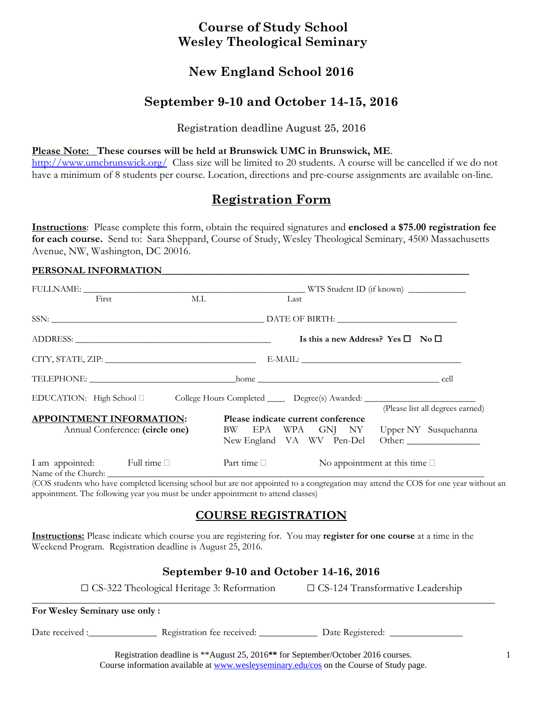## **Course of Study School Wesley Theological Seminary**

## **New England School 2016**

## **September 9-10 and October 14-15, 2016**

### Registration deadline August 25, 2016

### **Please Note: These courses will be held at Brunswick UMC in Brunswick, ME**.

http://www.umcbrunswick.org/ Class size will be limited to 20 students. A course will be cancelled if we do not have a minimum of 8 students per course. Location, directions and pre-course assignments are available on-line.

# **Registration Form**

**Instructions**: Please complete this form, obtain the required signatures and **enclosed a \$75.00 registration fee for each course.** Send to: Sara Sheppard, Course of Study, Wesley Theological Seminary, 4500 Massachusetts Avenue, NW, Washington, DC 20016.

#### PERSONAL INFORMATION

|  | First                                                              | M.I.                                                                                                | Last                               |  |  |                                                   |                                                                                                                |
|--|--------------------------------------------------------------------|-----------------------------------------------------------------------------------------------------|------------------------------------|--|--|---------------------------------------------------|----------------------------------------------------------------------------------------------------------------|
|  |                                                                    |                                                                                                     |                                    |  |  |                                                   |                                                                                                                |
|  |                                                                    |                                                                                                     |                                    |  |  | Is this a new Address? Yes $\square$ No $\square$ |                                                                                                                |
|  |                                                                    |                                                                                                     |                                    |  |  |                                                   |                                                                                                                |
|  |                                                                    |                                                                                                     |                                    |  |  |                                                   |                                                                                                                |
|  |                                                                    | EDUCATION: High School □ College Hours Completed ______ Degree(s) Awarded: ________________________ |                                    |  |  |                                                   |                                                                                                                |
|  | <b>APPOINTMENT INFORMATION:</b><br>Annual Conference: (circle one) |                                                                                                     | Please indicate current conference |  |  |                                                   | (Please list all degrees earned)<br>BW EPA WPA GNJ NY Upper NY Susquehanna<br>New England VA WV Pen-Del Other: |
|  | I am appointed: Full time                                          |                                                                                                     | Part time $\Box$                   |  |  | No appointment at this time $\square$             |                                                                                                                |

(COS students who have completed licensing school but are not appointed to a congregation may attend the COS for one year without an appointment. The following year you must be under appointment to attend classes)

### **COURSE REGISTRATION**

**Instructions:** Please indicate which course you are registering for. You may **register for one course** at a time in the Weekend Program. Registration deadline is August 25, 2016.

### **September 9-10 and October 14-16, 2016**

 $\square$  CS-322 Theological Heritage 3: Reformation  $\square$  CS-124 Transformative Leadership

#### **\_\_\_\_\_\_\_\_\_\_\_\_\_\_\_\_\_\_\_\_\_\_\_\_\_\_\_\_\_\_\_\_\_\_\_\_\_\_\_\_\_\_\_\_\_\_\_\_\_\_\_\_\_\_\_\_\_\_\_\_\_\_\_\_\_\_\_\_\_\_\_\_\_\_\_\_\_\_\_\_\_\_\_\_\_\_\_\_\_\_\_\_\_\_\_ For Wesley Seminary use only :**

Date received :\_\_\_\_\_\_\_\_\_\_\_\_\_\_\_\_\_\_\_ Registration fee received: \_\_\_\_\_\_\_\_\_\_\_\_\_\_\_\_\_ Date Registered: \_\_\_\_\_\_\_\_\_\_\_\_\_

Registration deadline is \*\*August 25, 2016**\*\*** for September/October 2016 courses. Course information available at www.wesleyseminary.edu/cos on the Course of Study page.